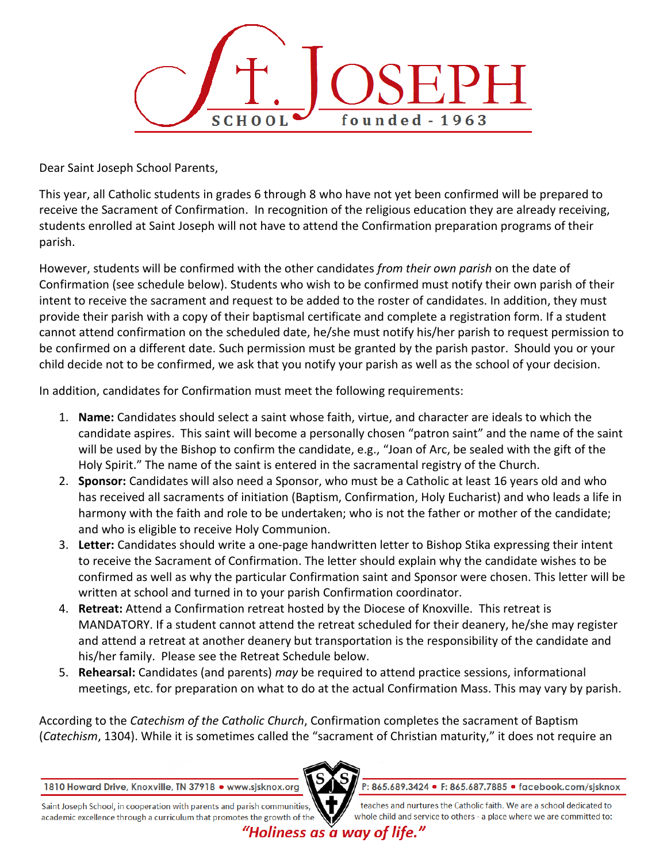

Dear Saint Joseph School Parents,

This year, all Catholic students in grades 6 through 8 who have not yet been confirmed will be prepared to receive the Sacrament of Confirmation. In recognition of the religious education they are already receiving, students enrolled at Saint Joseph will not have to attend the Confirmation preparation programs of their parish.

However, students will be confirmed with the other candidates *from their own parish* on the date of Confirmation (see schedule below). Students who wish to be confirmed must notify their own parish of their intent to receive the sacrament and request to be added to the roster of candidates. In addition, they must provide their parish with a copy of their baptismal certificate and complete a registration form. If a student cannot attend confirmation on the scheduled date, he/she must notify his/her parish to request permission to be confirmed on a different date. Such permission must be granted by the parish pastor. Should you or your child decide not to be confirmed, we ask that you notify your parish as well as the school of your decision.

In addition, candidates for Confirmation must meet the following requirements:

- 1. **Name:** Candidates should select a saint whose faith, virtue, and character are ideals to which the candidate aspires. This saint will become a personally chosen "patron saint" and the name of the saint will be used by the Bishop to confirm the candidate, e.g., "Joan of Arc, be sealed with the gift of the Holy Spirit." The name of the saint is entered in the sacramental registry of the Church.
- 2. **Sponsor:** Candidates will also need a Sponsor, who must be a Catholic at least 16 years old and who has received all sacraments of initiation (Baptism, Confirmation, Holy Eucharist) and who leads a life in harmony with the faith and role to be undertaken; who is not the father or mother of the candidate; and who is eligible to receive Holy Communion.
- 3. **Letter:** Candidates should write a one-page handwritten letter to Bishop Stika expressing their intent to receive the Sacrament of Confirmation. The letter should explain why the candidate wishes to be confirmed as well as why the particular Confirmation saint and Sponsor were chosen. This letter will be written at school and turned in to your parish Confirmation coordinator.
- 4. **Retreat:** Attend a Confirmation retreat hosted by the Diocese of Knoxville. This retreat is MANDATORY. If a student cannot attend the retreat scheduled for their deanery, he/she may register and attend a retreat at another deanery but transportation is the responsibility of the candidate and his/her family. Please see the Retreat Schedule below.
- 5. **Rehearsal:** Candidates (and parents) *may* be required to attend practice sessions, informational meetings, etc. for preparation on what to do at the actual Confirmation Mass. This may vary by parish.

According to the *Catechism of the Catholic Church*, Confirmation completes the sacrament of Baptism (*Catechism*, 1304). While it is sometimes called the "sacrament of Christian maturity," it does not require an



P: 865.689.3424 · F: 865.687.7885 · facebook.com/sisknox

Saint Joseph School, in cooperation with parents and parish communities, academic excellence through a curriculum that promotes the growth of the

teaches and nurtures the Catholic faith. We are a school dedicated to whole child and service to others - a place where we are committed to:

"Holiness as a wav of life."